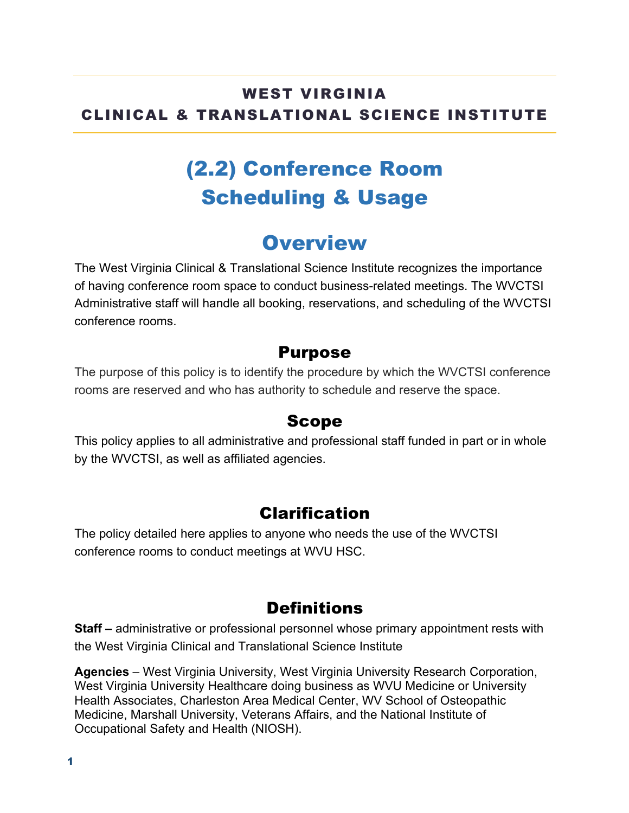### WEST VIRGINIA CLINICAL & TRANSLATIONAL SCIENCE INSTITUTE

# (2.2) Conference Room Scheduling & Usage

# **Overview**

The West Virginia Clinical & Translational Science Institute recognizes the importance of having conference room space to conduct business-related meetings. The WVCTSI Administrative staff will handle all booking, reservations, and scheduling of the WVCTSI conference rooms.

#### Purpose

The purpose of this policy is to identify the procedure by which the WVCTSI conference rooms are reserved and who has authority to schedule and reserve the space.

#### Scope

This policy applies to all administrative and professional staff funded in part or in whole by the WVCTSI, as well as affiliated agencies.

### Clarification

The policy detailed here applies to anyone who needs the use of the WVCTSI conference rooms to conduct meetings at WVU HSC.

### **Definitions**

**Staff –** administrative or professional personnel whose primary appointment rests with the West Virginia Clinical and Translational Science Institute

**Agencies** – West Virginia University, West Virginia University Research Corporation, West Virginia University Healthcare doing business as WVU Medicine or University Health Associates, Charleston Area Medical Center, WV School of Osteopathic Medicine, Marshall University, Veterans Affairs, and the National Institute of Occupational Safety and Health (NIOSH).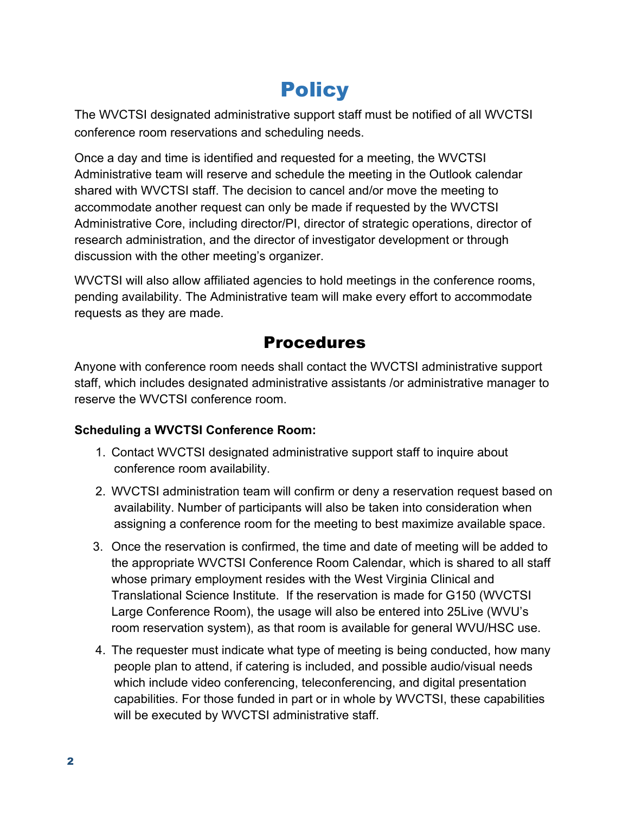# **Policy**

The WVCTSI designated administrative support staff must be notified of all WVCTSI conference room reservations and scheduling needs.

Once a day and time is identified and requested for a meeting, the WVCTSI Administrative team will reserve and schedule the meeting in the Outlook calendar shared with WVCTSI staff. The decision to cancel and/or move the meeting to accommodate another request can only be made if requested by the WVCTSI Administrative Core, including director/PI, director of strategic operations, director of research administration, and the director of investigator development or through discussion with the other meeting's organizer.

WVCTSI will also allow affiliated agencies to hold meetings in the conference rooms, pending availability. The Administrative team will make every effort to accommodate requests as they are made.

## Procedures

Anyone with conference room needs shall contact the WVCTSI administrative support staff, which includes designated administrative assistants /or administrative manager to reserve the WVCTSI conference room.

#### **Scheduling a WVCTSI Conference Room:**

- 1. Contact WVCTSI designated administrative support staff to inquire about conference room availability.
- 2. WVCTSI administration team will confirm or deny a reservation request based on availability. Number of participants will also be taken into consideration when assigning a conference room for the meeting to best maximize available space.
- 3. Once the reservation is confirmed, the time and date of meeting will be added to the appropriate WVCTSI Conference Room Calendar, which is shared to all staff whose primary employment resides with the West Virginia Clinical and Translational Science Institute. If the reservation is made for G150 (WVCTSI Large Conference Room), the usage will also be entered into 25Live (WVU's room reservation system), as that room is available for general WVU/HSC use.
- 4. The requester must indicate what type of meeting is being conducted, how many people plan to attend, if catering is included, and possible audio/visual needs which include video conferencing, teleconferencing, and digital presentation capabilities. For those funded in part or in whole by WVCTSI, these capabilities will be executed by WVCTSI administrative staff.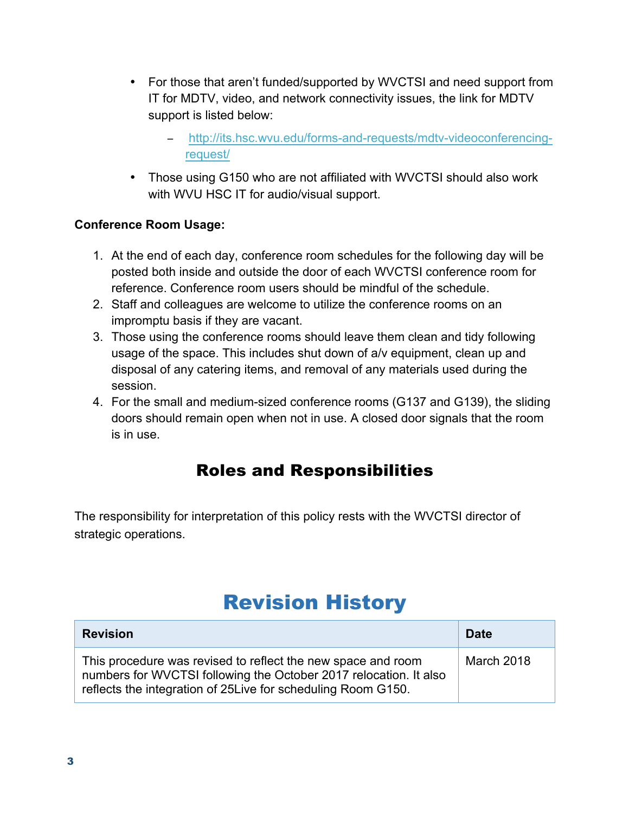- For those that aren't funded/supported by WVCTSI and need support from IT for MDTV, video, and network connectivity issues, the link for MDTV support is listed below:
	- − http://its.hsc.wvu.edu/forms-and-requests/mdtv-videoconferencingrequest/
- Those using G150 who are not affiliated with WVCTSI should also work with WVU HSC IT for audio/visual support.

#### **Conference Room Usage:**

- 1. At the end of each day, conference room schedules for the following day will be posted both inside and outside the door of each WVCTSI conference room for reference. Conference room users should be mindful of the schedule.
- 2. Staff and colleagues are welcome to utilize the conference rooms on an impromptu basis if they are vacant.
- 3. Those using the conference rooms should leave them clean and tidy following usage of the space. This includes shut down of a/v equipment, clean up and disposal of any catering items, and removal of any materials used during the session.
- 4. For the small and medium-sized conference rooms (G137 and G139), the sliding doors should remain open when not in use. A closed door signals that the room is in use.

## Roles and Responsibilities

The responsibility for interpretation of this policy rests with the WVCTSI director of strategic operations.

# Revision History

| <b>Revision</b>                                                                                                                                                                                    | Date              |
|----------------------------------------------------------------------------------------------------------------------------------------------------------------------------------------------------|-------------------|
| This procedure was revised to reflect the new space and room<br>numbers for WVCTSI following the October 2017 relocation. It also<br>reflects the integration of 25 Live for scheduling Room G150. | <b>March 2018</b> |